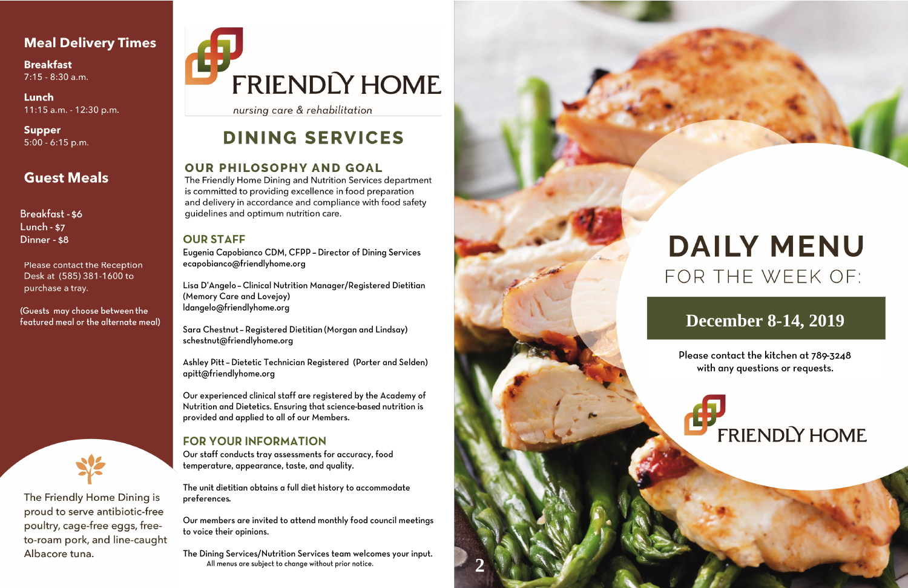## **Meal Delivery Times**

**Breakfast**  $7:15 - 8:30$  a.m.

Lunch 11:15 a.m. - 12:30 p.m.

**Supper**  $5:00 - 6:15$  p.m.

## **Guest Meals**

Breakfast - \$6 **Lunch - \$7** Dinner - \$8

**Please contact the Reception** Desk at (585) 381-1600 to purchase a tray.

(Guests may choose between the featured meal or the alternate meal)



The Friendly Home Dining is proud to serve antibiotic-free poultry, cage-free eggs, freeto-roam pork, and line-caught Albacore tuna.

# FRIENDLY HOME

nursing care & rehabilitation

# **DINING SERVICES**

### **OUR PHILOSOPHY AND GOAL**

The Friendly Home Dining and Nutrition Services department is committed to providing excellence in food preparation and delivery in accordance and compliance with food safety quidelines and optimum nutrition care.

### **OUR STAFF**

Eugenia Capobianco CDM, CFPP - Director of Dining Services ecapobianco@friendlyhome.org

Lisa D'Angelo - Clinical Nutrition Manager/Registered Dietitian (Memory Care and Lovejoy) ldangelo@friendlyhome.org

Sara Chestnut - Registered Dietitian (Morgan and Lindsay) schestnut@friendlyhome.org

Ashley Pitt - Dietetic Technician Registered (Porter and Selden) apitt@friendlyhome.org

Our experienced clinical staff are registered by the Academy of Nutrition and Dietetics. Ensuring that science-based nutrition is provided and applied to all of our Members.

### **FOR YOUR INFORMATION**

Our staff conducts tray assessments for accuracy, food temperature, appearance, taste, and quality.

The unit dietitian obtains a full diet history to accommodate preferences.

Our members are invited to attend monthly food council meetings to voice their opinions.

The Dining Services/Nutrition Services team welcomes your input. All menus are subject to change without prior notice.



# **DAILY MENU** FOR THE WEEK OF:

# **December 8-14, 2019**

Please contact the kitchen at 789-3248 with any questions or requests.

# **FRIENDLY HOME**